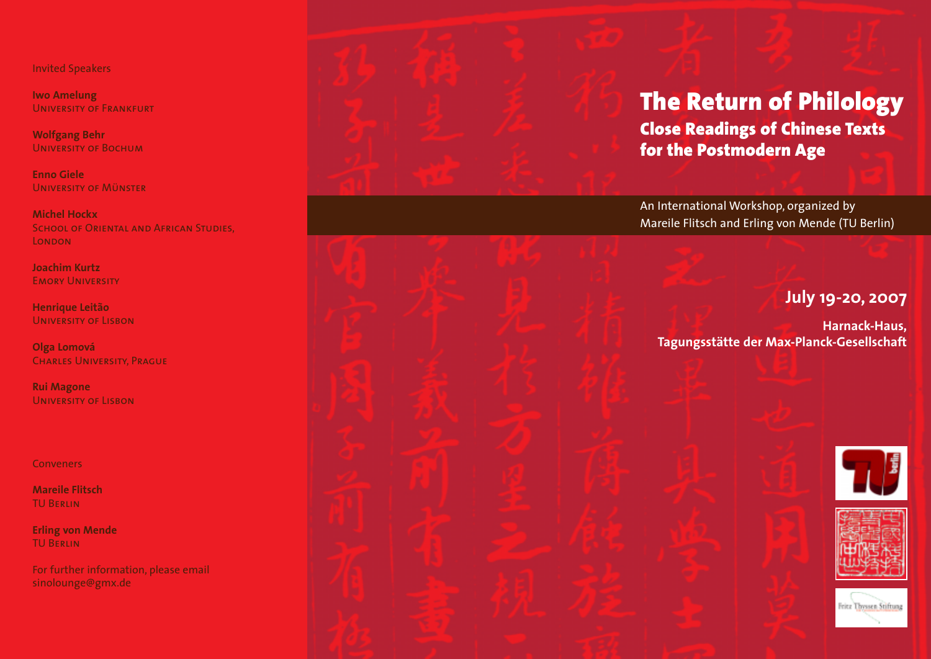Invited Speakers

**Iwo Amelung** University of Frankfurt

**Wolfgang Behr** University of Bochum

**Enno Giele** University of Münster

**Michel Hockx** SCHOOL OF ORIENTAL AND AFRICAN STUDIES. **LONDON** 

**Joachim Kurtz EMORY UNIVERSITY** 

**Henrique Leitão** University of Lisbon

**Olga Lomová** Charles University, Prague

**Rui Magone** University of Lisbon

Conveners

**Mareile Flitsch** TU Berlin

**Erling von Mende** TU Berlin

For further information, please email sinolounge@gmx.de



# **The Return of Philology Close Readings of Chinese Texts for the Postmodern Age**

An International Workshop, organized by Mareile Flitsch and Erling von Mende (TU Berlin)

**July 19-20, 2007**

**Harnack-Haus, Tagungsstätte der Max-Planck-Gesellschaft**